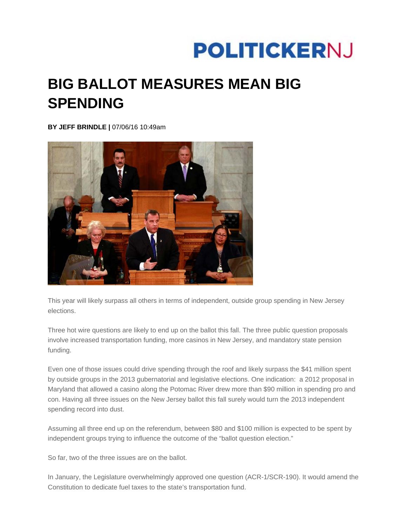## **POLITICKERNJ**

## **BIG BALLOT MEASURES MEAN BIG SPENDING**

**BY JEFF BRINDLE |** 07/06/16 10:49am



This year will likely surpass all others in terms of independent, outside group spending in New Jersey elections.

Three hot wire questions are likely to end up on the ballot this fall. The three public question proposals involve increased transportation funding, more casinos in New Jersey, and mandatory state pension funding.

Even one of those issues could drive spending through the roof and likely surpass the \$41 million spent by outside groups in the 2013 gubernatorial and legislative elections. One indication: a 2012 proposal in Maryland that allowed a casino along the Potomac River drew more than \$90 million in spending pro and con. Having all three issues on the New Jersey ballot this fall surely would turn the 2013 independent spending record into dust.

Assuming all three end up on the referendum, between \$80 and \$100 million is expected to be spent by independent groups trying to influence the outcome of the "ballot question election."

So far, two of the three issues are on the ballot.

In January, the Legislature overwhelmingly approved one question (ACR-1/SCR-190). It would amend the Constitution to dedicate fuel taxes to the state's transportation fund.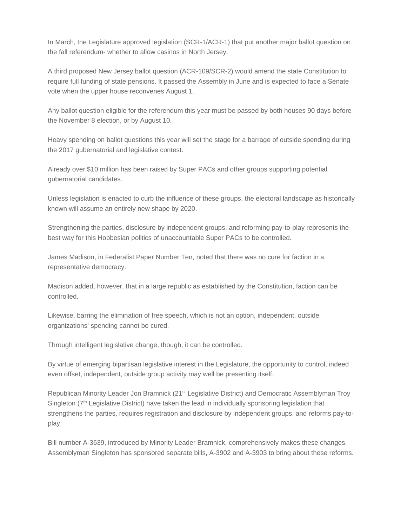In March, the Legislature approved legislation (SCR-1/ACR-1) that put another major ballot question on the fall referendum- whether to allow casinos in North Jersey.

A third proposed New Jersey ballot question (ACR-109/SCR-2) would amend the state Constitution to require full funding of state pensions. It passed the Assembly in June and is expected to face a Senate vote when the upper house reconvenes August 1.

Any ballot question eligible for the referendum this year must be passed by both houses 90 days before the November 8 election, or by August 10.

Heavy spending on ballot questions this year will set the stage for a barrage of outside spending during the 2017 gubernatorial and legislative contest.

Already over \$10 million has been raised by Super PACs and other groups supporting potential gubernatorial candidates.

Unless legislation is enacted to curb the influence of these groups, the electoral landscape as historically known will assume an entirely new shape by 2020.

Strengthening the parties, disclosure by independent groups, and reforming pay-to-play represents the best way for this Hobbesian politics of unaccountable Super PACs to be controlled.

James Madison, in Federalist Paper Number Ten, noted that there was no cure for faction in a representative democracy.

Madison added, however, that in a large republic as established by the Constitution, faction can be controlled.

Likewise, barring the elimination of free speech, which is not an option, independent, outside organizations' spending cannot be cured.

Through intelligent legislative change, though, it can be controlled.

By virtue of emerging bipartisan legislative interest in the Legislature, the opportunity to control, indeed even offset, independent, outside group activity may well be presenting itself.

Republican Minority Leader Jon Bramnick (21st Legislative District) and Democratic Assemblyman Troy Singleton (7<sup>th</sup> Legislative District) have taken the lead in individually sponsoring legislation that strengthens the parties, requires registration and disclosure by independent groups, and reforms pay-toplay.

Bill number A-3639, introduced by Minority Leader Bramnick, comprehensively makes these changes. Assemblyman Singleton has sponsored separate bills, A-3902 and A-3903 to bring about these reforms.